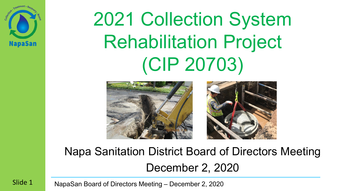

# 2021 Collection System Rehabilitation Project (CIP 20703)



#### Napa Sanitation District Board of Directors Meeting December 2, 2020

NapaSan Board of Directors Meeting – December 2, 2020

Slide 1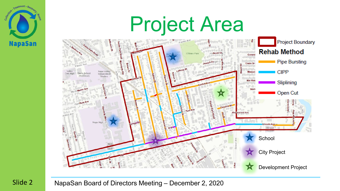

Slide 2

# Project Area

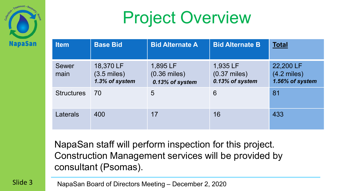

# Project Overview

| <b>Item</b>          | <b>Base Bid</b>                                      | <b>Bid Alternate A</b>                        | <b>Bid Alternate B</b>                        | <b>Total</b>                                  |
|----------------------|------------------------------------------------------|-----------------------------------------------|-----------------------------------------------|-----------------------------------------------|
| <b>Sewer</b><br>main | 18,370 LF<br>$(3.5 \text{ miles})$<br>1.3% of system | 1,895 LF<br>$(0.36$ miles)<br>0.13% of system | 1,935 LF<br>$(0.37$ miles)<br>0.13% of system | 22,200 LF<br>$(4.2$ miles)<br>1.56% of system |
| <b>Structures</b>    | 70                                                   | 5                                             | 6                                             | 81                                            |
| Laterals             | 400                                                  | 17                                            | 16                                            | 433                                           |

NapaSan staff will perform inspection for this project. Construction Management services will be provided by consultant (Psomas).

NapaSan Board of Directors Meeting – December 2, 2020

Slide 3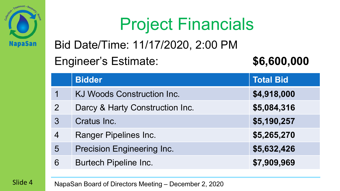

# Project Financials

Bid Date/Time: 11/17/2020, 2:00 PM

#### Engineer's Estimate: **\$6,600,000**

|                 | <b>Bidder</b>                     | <b>Total Bid</b> |
|-----------------|-----------------------------------|------------------|
|                 | KJ Woods Construction Inc.        | \$4,918,000      |
| 2               | Darcy & Harty Construction Inc.   | \$5,084,316      |
| 3               | Cratus Inc.                       | \$5,190,257      |
| 4               | <b>Ranger Pipelines Inc.</b>      | \$5,265,270      |
| $5\overline{)}$ | <b>Precision Engineering Inc.</b> | \$5,632,426      |
| 6               | <b>Burtech Pipeline Inc.</b>      | \$7,909,969      |

Slide 4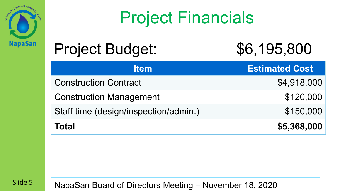

### Project Financials

#### Project Budget: \$6,195,800



| <b>Item</b>                           | <b>Estimated Cost</b> |
|---------------------------------------|-----------------------|
| <b>Construction Contract</b>          | \$4,918,000           |
| <b>Construction Management</b>        | \$120,000             |
| Staff time (design/inspection/admin.) | \$150,000             |
| <b>Total</b>                          | \$5,368,000           |

Slide 5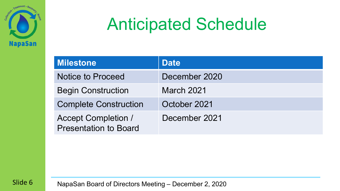

### Anticipated Schedule

| <b>Milestone</b>                                           | <b>Date</b>       |
|------------------------------------------------------------|-------------------|
| <b>Notice to Proceed</b>                                   | December 2020     |
| <b>Begin Construction</b>                                  | <b>March 2021</b> |
| <b>Complete Construction</b>                               | October 2021      |
| <b>Accept Completion /</b><br><b>Presentation to Board</b> | December 2021     |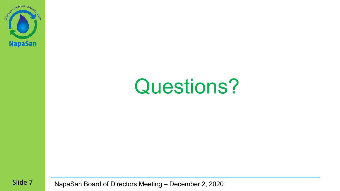

# Questions?

Slide 7